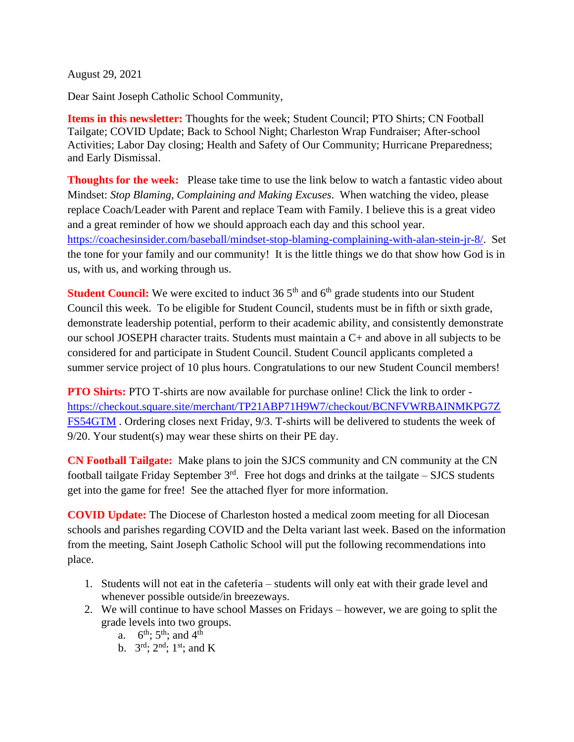August 29, 2021

Dear Saint Joseph Catholic School Community,

**Items in this newsletter:** Thoughts for the week; Student Council; PTO Shirts; CN Football Tailgate; COVID Update; Back to School Night; Charleston Wrap Fundraiser; After-school Activities; Labor Day closing; Health and Safety of Our Community; Hurricane Preparedness; and Early Dismissal.

**Thoughts for the week:** Please take time to use the link below to watch a fantastic video about Mindset: *Stop Blaming, Complaining and Making Excuses*. When watching the video, please replace Coach/Leader with Parent and replace Team with Family. I believe this is a great video and a great reminder of how we should approach each day and this school year. [https://coachesinsider.com/baseball/mindset-stop-blaming-complaining-with-alan-stein-jr-8/.](https://coachesinsider.com/baseball/mindset-stop-blaming-complaining-with-alan-stein-jr-8/) Set the tone for your family and our community! It is the little things we do that show how God is in us, with us, and working through us.

**Student Council:** We were excited to induct 36 5<sup>th</sup> and 6<sup>th</sup> grade students into our Student Council this week. To be eligible for Student Council, students must be in fifth or sixth grade, demonstrate leadership potential, perform to their academic ability, and consistently demonstrate our school JOSEPH character traits. Students must maintain a C+ and above in all subjects to be considered for and participate in Student Council. Student Council applicants completed a summer service project of 10 plus hours. Congratulations to our new Student Council members!

**PTO Shirts:** PTO T-shirts are now available for purchase online! Click the link to order [https://checkout.square.site/merchant/TP21ABP71H9W7/checkout/BCNFVWRBAINMKPG7Z](https://checkout.square.site/merchant/TP21ABP71H9W7/checkout/BCNFVWRBAINMKPG7ZFS54GTM) [FS54GTM](https://checkout.square.site/merchant/TP21ABP71H9W7/checkout/BCNFVWRBAINMKPG7ZFS54GTM) . Ordering closes next Friday, 9/3. T-shirts will be delivered to students the week of 9/20. Your student(s) may wear these shirts on their PE day.

**CN Football Tailgate:** Make plans to join the SJCS community and CN community at the CN football tailgate Friday September  $3<sup>rd</sup>$ . Free hot dogs and drinks at the tailgate – SJCS students get into the game for free! See the attached flyer for more information.

**COVID Update:** The Diocese of Charleston hosted a medical zoom meeting for all Diocesan schools and parishes regarding COVID and the Delta variant last week. Based on the information from the meeting, Saint Joseph Catholic School will put the following recommendations into place.

- 1. Students will not eat in the cafeteria students will only eat with their grade level and whenever possible outside/in breezeways.
- 2. We will continue to have school Masses on Fridays however, we are going to split the grade levels into two groups.
	- a.  $6^{\text{th}}$ ;  $5^{\text{th}}$ ; and  $4^{\text{th}}$
	- b.  $3^{\text{rd}}$ ;  $2^{\text{nd}}$ ;  $1^{\text{st}}$ ; and K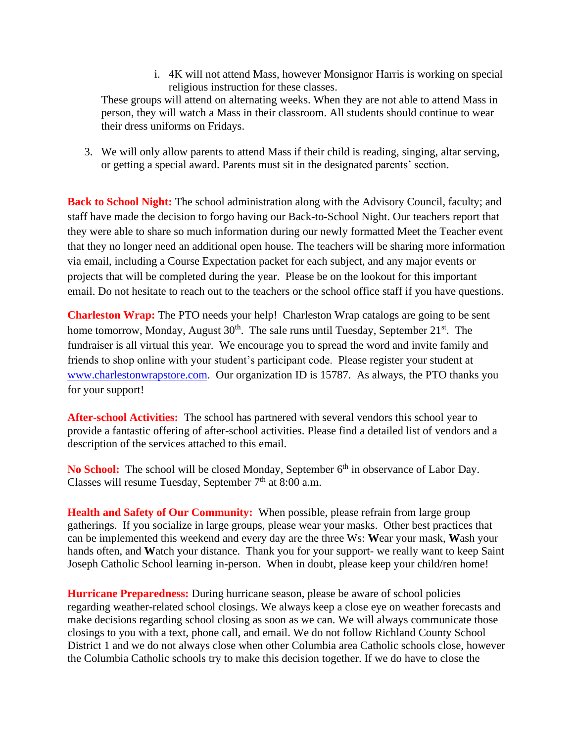i. 4K will not attend Mass, however Monsignor Harris is working on special religious instruction for these classes.

These groups will attend on alternating weeks. When they are not able to attend Mass in person, they will watch a Mass in their classroom. All students should continue to wear their dress uniforms on Fridays.

3. We will only allow parents to attend Mass if their child is reading, singing, altar serving, or getting a special award. Parents must sit in the designated parents' section.

**Back to School Night:** The school administration along with the Advisory Council, faculty; and staff have made the decision to forgo having our Back-to-School Night. Our teachers report that they were able to share so much information during our newly formatted Meet the Teacher event that they no longer need an additional open house. The teachers will be sharing more information via email, including a Course Expectation packet for each subject, and any major events or projects that will be completed during the year. Please be on the lookout for this important email. Do not hesitate to reach out to the teachers or the school office staff if you have questions.

**Charleston Wrap:** The PTO needs your help! Charleston Wrap catalogs are going to be sent home tomorrow, Monday, August  $30<sup>th</sup>$ . The sale runs until Tuesday, September  $21<sup>st</sup>$ . The fundraiser is all virtual this year. We encourage you to spread the word and invite family and friends to shop online with your student's participant code. Please register your student at [www.charlestonwrapstore.com.](http://www.charlestonwrapstore.com/) Our organization ID is 15787. As always, the PTO thanks you for your support!

**After-school Activities:** The school has partnered with several vendors this school year to provide a fantastic offering of after-school activities. Please find a detailed list of vendors and a description of the services attached to this email.

No School: The school will be closed Monday, September 6<sup>th</sup> in observance of Labor Day. Classes will resume Tuesday, September  $7<sup>th</sup>$  at 8:00 a.m.

**Health and Safety of Our Community:** When possible, please refrain from large group gatherings. If you socialize in large groups, please wear your masks. Other best practices that can be implemented this weekend and every day are the three Ws: **W**ear your mask, **W**ash your hands often, and **W**atch your distance. Thank you for your support- we really want to keep Saint Joseph Catholic School learning in-person. When in doubt, please keep your child/ren home!

**Hurricane Preparedness:** During hurricane season, please be aware of school policies regarding weather-related school closings. We always keep a close eye on weather forecasts and make decisions regarding school closing as soon as we can. We will always communicate those closings to you with a text, phone call, and email. We do not follow Richland County School District 1 and we do not always close when other Columbia area Catholic schools close, however the Columbia Catholic schools try to make this decision together. If we do have to close the